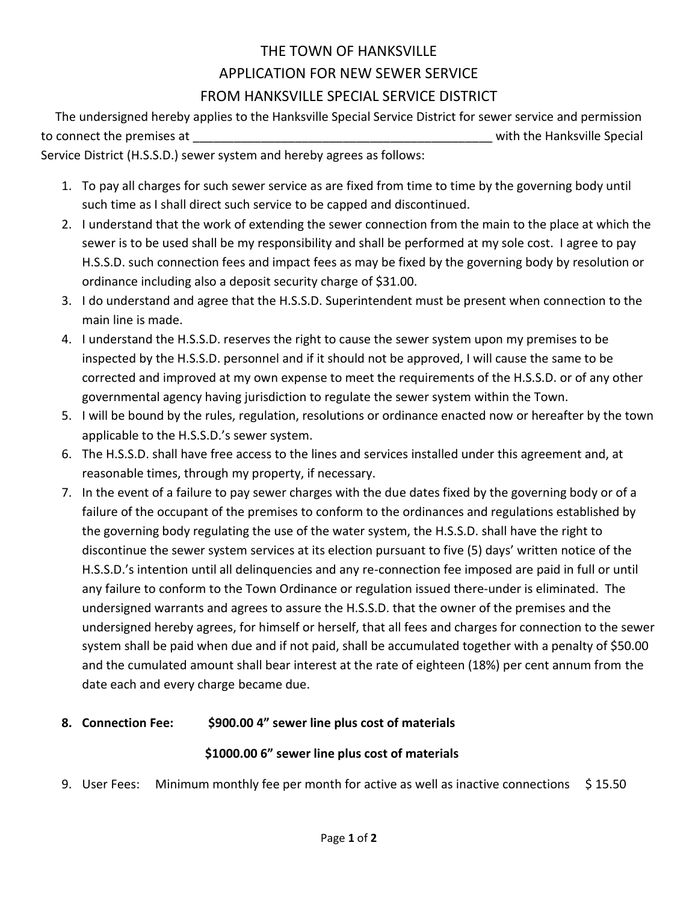## THE TOWN OF HANKSVILLE APPLICATION FOR NEW SEWER SERVICE FROM HANKSVILLE SPECIAL SERVICE DISTRICT

 The undersigned hereby applies to the Hanksville Special Service District for sewer service and permission to connect the premises at the state of the state of the Hanksville Special state of the Hanksville Special Service District (H.S.S.D.) sewer system and hereby agrees as follows:

1. To pay all charges for such sewer service as are fixed from time to time by the governing body until such time as I shall direct such service to be capped and discontinued.

- 2. I understand that the work of extending the sewer connection from the main to the place at which the sewer is to be used shall be my responsibility and shall be performed at my sole cost. I agree to pay H.S.S.D. such connection fees and impact fees as may be fixed by the governing body by resolution or ordinance including also a deposit security charge of \$31.00.
- 3. I do understand and agree that the H.S.S.D. Superintendent must be present when connection to the main line is made.
- 4. I understand the H.S.S.D. reserves the right to cause the sewer system upon my premises to be inspected by the H.S.S.D. personnel and if it should not be approved, I will cause the same to be corrected and improved at my own expense to meet the requirements of the H.S.S.D. or of any other governmental agency having jurisdiction to regulate the sewer system within the Town.
- 5. I will be bound by the rules, regulation, resolutions or ordinance enacted now or hereafter by the town applicable to the H.S.S.D.'s sewer system.
- 6. The H.S.S.D. shall have free access to the lines and services installed under this agreement and, at reasonable times, through my property, if necessary.
- 7. In the event of a failure to pay sewer charges with the due dates fixed by the governing body or of a failure of the occupant of the premises to conform to the ordinances and regulations established by the governing body regulating the use of the water system, the H.S.S.D. shall have the right to discontinue the sewer system services at its election pursuant to five (5) days' written notice of the H.S.S.D.'s intention until all delinquencies and any re-connection fee imposed are paid in full or until any failure to conform to the Town Ordinance or regulation issued there-under is eliminated. The undersigned warrants and agrees to assure the H.S.S.D. that the owner of the premises and the undersigned hereby agrees, for himself or herself, that all fees and charges for connection to the sewer system shall be paid when due and if not paid, shall be accumulated together with a penalty of \$50.00 and the cumulated amount shall bear interest at the rate of eighteen (18%) per cent annum from the date each and every charge became due.

## **8. Connection Fee: \$900.00 4" sewer line plus cost of materials**

## **\$1000.00 6" sewer line plus cost of materials**

9. User Fees: Minimum monthly fee per month for active as well as inactive connections \$ 15.50